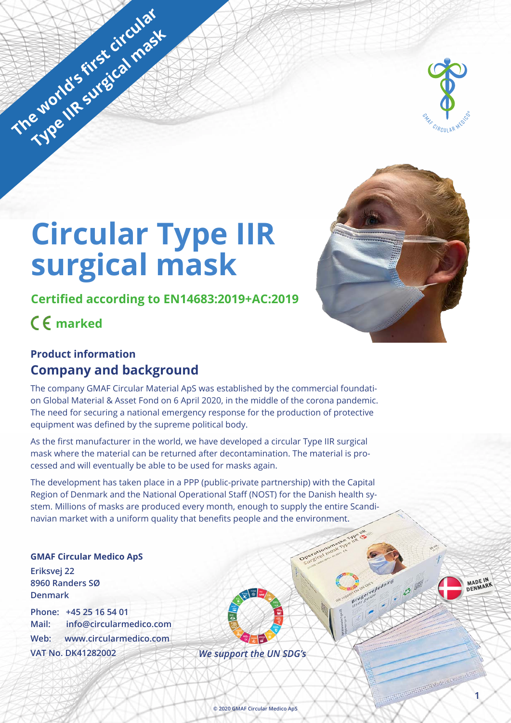

# **Circular Type IIR surgical mask**

**Certified according to EN14683:2019+AC:2019**

**marked**

The world's first circular

**Type IIR surgical mask** 

## **Product information Company and background**

The company GMAF Circular Material ApS was established by the commercial foundation Global Material & Asset Fond on 6 April 2020, in the middle of the corona pandemic. The need for securing a national emergency response for the production of protective equipment was defined by the supreme political body.

As the first manufacturer in the world, we have developed a circular Type IIR surgical mask where the material can be returned after decontamination. The material is processed and will eventually be able to be used for masks again.

The development has taken place in a PPP (public-private partnership) with the Capital Region of Denmark and the National Operational Staff (NOST) for the Danish health system. Millions of masks are produced every month, enough to supply the entire Scandinavian market with a uniform quality that benefits people and the environment.

**GMAF Circular Medico ApS Eriksvej 22 8960 Randers SØ Denmark**

**Phone: +45 25 16 54 01 Mail: info@circularmedico.com Web: www.circularmedico.com VAT No. DK41282002**

*We support the UN SDG's*



MADE IN